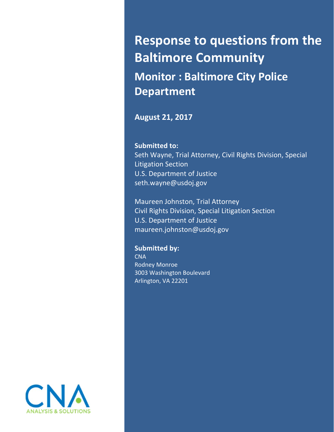# **Response to questions from the Baltimore Community Monitor : Baltimore City Police Department**

## **August 21, 2017**

#### **Submitted to:**

 Seth Wayne, Trial Attorney, Civil Rights Division, Special Litigation Section U.S. Department of Justice seth.wayne@usdoj.gov

 Maureen Johnston, Trial Attorney Civil Rights Division, Special Litigation Section U.S. Department of Justice maureen.johnston@usdoj.gov

 **Submitted by: CNA** 

 Rodney Monroe 3003 Washington Boulevard Arlington, VA 22201

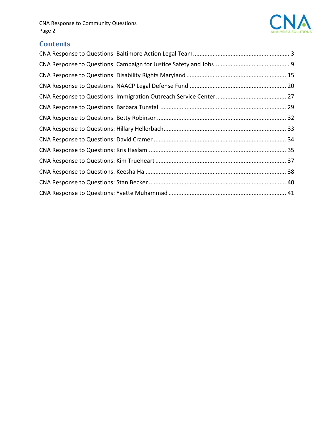

# **Contents**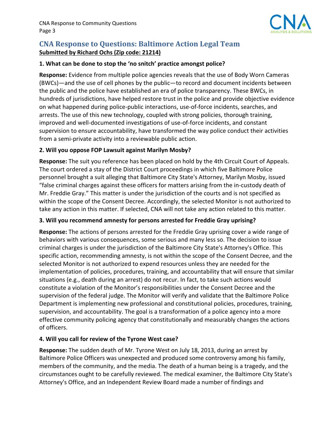

## **CNA Response to Questions: Baltimore Action Legal Team Submitted by Richard Ochs (Zip code: 21214)**

#### **1. What can be done to stop the 'no snitch' practice amongst police?**

 **Response:** Evidence from multiple police agencies reveals that the use of Body Worn Cameras (BWCs)—and the use of cell phones by the public—to record and document incidents between the public and the police have established an era of police transparency. These BWCs, in hundreds of jurisdictions, have helped restore trust in the police and provide objective evidence on what happened during police‐public interactions, use‐of‐force incidents, searches, and arrests. The use of this new technology, coupled with strong policies, thorough training, improved and well‐documented investigations of use‐of‐force incidents, and constant supervision to ensure accountability, have transformed the way police conduct their activities from a semi‐private activity into a reviewable public action.

#### **2. Will you oppose FOP Lawsuit against Marilyn Mosby?**

 **Response:** The suit you reference has been placed on hold by the 4th Circuit Court of Appeals. The court ordered a stay of the District Court proceedings in which five Baltimore Police personnel brought a suit alleging that Baltimore City State's Attorney, Marilyn Mosby, issued "false criminal charges against these officers for matters arising from the in‐custody death of Mr. Freddie Gray." This matter is under the jurisdiction of the courts and is not specified as within the scope of the Consent Decree. Accordingly, the selected Monitor is not authorized to take any action in this matter. If selected, CNA will not take any action related to this matter.

#### **3. Will you recommend amnesty for persons arrested for Freddie Gray uprising?**

 **Response:** The actions of persons arrested for the Freddie Gray uprising cover a wide range of behaviors with various consequences, some serious and many less so. The decision to issue criminal charges is under the jurisdiction of the Baltimore City State's Attorney's Office. This specific action, recommending amnesty, is not within the scope of the Consent Decree, and the selected Monitor is not authorized to expend resources unless they are needed for the implementation of policies, procedures, training, and accountability that will ensure that similar situations (e.g., death during an arrest) do not recur. In fact, to take such actions would constitute a violation of the Monitor's responsibilities under the Consent Decree and the supervision of the federal judge. The Monitor will verify and validate that the Baltimore Police Department is implementing new professional and constitutional policies, procedures, training, supervision, and accountability. The goal is a transformation of a police agency into a more effective community policing agency that constitutionally and measurably changes the actions of officers.

#### **4. Will you call for review of the Tyrone West case?**

 **Response:** The sudden death of Mr. Tyrone West on July 18, 2013, during an arrest by Baltimore Police Officers was unexpected and produced some controversy among his family, members of the community, and the media. The death of a human being is a tragedy, and the circumstances ought to be carefully reviewed. The medical examiner, the Baltimore City State's Attorney's Office, and an Independent Review Board made a number of findings and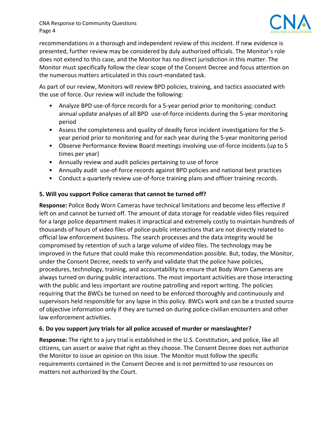

 recommendations in a thorough and independent review of this incident. If new evidence is presented, further review may be considered by duly authorized officials. The Monitor's role does not extend to this case, and the Monitor has no direct jurisdiction in this matter. The Monitor must specifically follow the clear scope of the Consent Decree and focus attention on the numerous matters articulated in this court‐mandated task.

 As part of our review, Monitors will review BPD policies, training, and tactics associated with the use of force. Our review will include the following:

- Analyze BPD use-of-force records for a 5-year period prior to monitoring; conduct annual update analyses of all BPD use‐of‐force incidents during the 5‐year monitoring period
- Assess the completeness and quality of deadly force incident investigations for the 5-year period prior to monitoring and for each year during the 5‐year monitoring period
- Observe Performance Review Board meetings involving use-of-force incidents (up to 5 times per year)
- • Annually review and audit policies pertaining to use of force
- Annually audit use-of-force records against BPD policies and national best practices
- Conduct a quarterly review use-of-force training plans and officer training records.

#### **5. Will you support Police cameras that cannot be turned off?**

 **Response:** Police Body Worn Cameras have technical limitations and become less effective if left on and cannot be turned off. The amount of data storage for readable video files required for a large police department makes it impractical and extremely costly to maintain hundreds of thousands of hours of video files of police‐public interactions that are not directly related to official law enforcement business. The search processes and the data integrity would be compromised by retention of such a large volume of video files. The technology may be improved in the future that could make this recommendation possible. But, today, the Monitor, under the Consent Decree, needs to verify and validate that the police have policies, procedures, technology, training, and accountability to ensure that Body Worn Cameras are always turned on during public interactions. The most important activities are those interacting with the public and less important are routine patrolling and report writing. The policies requiring that the BWCs be turned on need to be enforced thoroughly and continuously and supervisors held responsible for any lapse in this policy. BWCs work and can be a trusted source of objective information only if they are turned on during police‐civilian encounters and other law enforcement activities.

## **6. Do you support jury trials for all police accused of murder or manslaughter?**

 **Response:** The right to a jury trial is established in the U.S. Constitution, and police, like all citizens, can assert or waive that right as they choose. The Consent Decree does not authorize the Monitor to issue an opinion on this issue. The Monitor must follow the specific requirements contained in the Consent Decree and is not permitted to use resources on matters not authorized by the Court.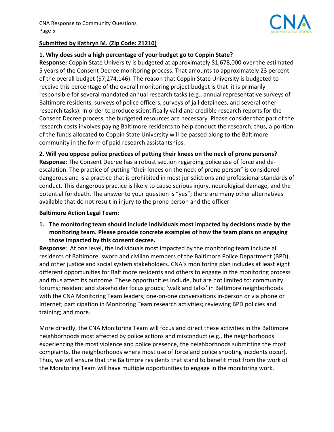

#### **Submitted by Kathryn M. (Zip Code: 21210)**

#### **1. Why does such a high percentage of your budget go to Coppin State?**

 **Response:** Coppin State University is budgeted at approximately \$1,678,000 over the estimated 5 years of the Consent Decree monitoring process. That amounts to approximately 23 percent of the overall budget (\$7,274,146). The reason that Coppin State University is budgeted to receive this percentage of the overall monitoring project budget is that it is primarily responsible for several mandated annual research tasks (e.g., annual representative surveys of Baltimore residents, surveys of police officers, surveys of jail detainees, and several other research tasks). In order to produce scientifically valid and credible research reports for the Consent Decree process, the budgeted resources are necessary. Please consider that part of the of the funds allocated to Coppin State University will be passed along to the Baltimore community in the form of paid research assistantships. research costs involves paying Baltimore residents to help conduct the research; thus, a portion

2. Will you oppose police practices of putting their knees on the neck of prone persons? **Response:** The Consent Decree has a robust section regarding police use of force and de‐ escalation. The practice of putting "their knees on the neck of prone person" is considered dangerous and is a practice that is prohibited in most jurisdictions and professional standards of conduct. This dangerous practice is likely to cause serious injury, neurological damage, and the potential for death. The answer to your question is "yes"; there are many other alternatives available that do not result in injury to the prone person and the officer.

#### **Baltimore Action Legal Team:**

 **1. The monitoring team should include individuals most impacted by decisions made by the monitoring team. Please provide concrete examples of how the team plans on engaging those impacted by this consent decree.**

 **Response**: At one level, the individuals most impacted by the monitoring team include all residents of Baltimore, sworn and civilian members of the Baltimore Police Department (BPD), and other justice and social system stakeholders. CNA's monitoring plan includes at least eight different opportunities for Baltimore residents and others to engage in the monitoring process and thus affect its outcome. These opportunities include, but are not limited to: community forums; resident and stakeholder focus groups; 'walk and talks' in Baltimore neighborhoods with the CNA Monitoring Team leaders; one‐on‐one conversations in‐person or via phone or Internet; participation in Monitoring Team research activities; reviewing BPD policies and training; and more.

 More directly, the CNA Monitoring Team will focus and direct these activities in the Baltimore neighborhoods most affected by police actions and misconduct (e.g., the neighborhoods experiencing the most violence and police presence, the neighborhoods submitting the most complaints, the neighborhoods where most use of force and police shooting incidents occur). Thus, we will ensure that the Baltimore residents that stand to benefit most from the work of the Monitoring Team will have multiple opportunities to engage in the monitoring work.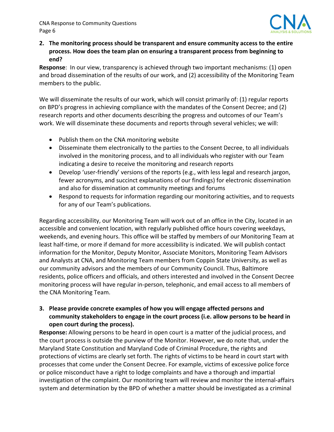

 **2. The monitoring process should be transparent and ensure community access to the entire process. How does the team plan on ensuring a transparent process from beginning to end?**

 **Response**: In our view, transparency is achieved through two important mechanisms: (1) open and broad dissemination of the results of our work, and (2) accessibility of the Monitoring Team members to the public.

 We will disseminate the results of our work, which will consist primarily of: (1) regular reports on BPD's progress in achieving compliance with the mandates of the Consent Decree; and (2) research reports and other documents describing the progress and outcomes of our Team's work. We will disseminate these documents and reports through several vehicles; we will:

- Publish them on the CNA monitoring website
- Disseminate them electronically to the parties to the Consent Decree, to all individuals involved in the monitoring process, and to all individuals who register with our Team indicating a desire to receive the monitoring and research reports
- Develop 'user-friendly' versions of the reports (e.g., with less legal and research jargon, fewer acronyms, and succinct explanations of our findings) for electronic dissemination and also for dissemination at community meetings and forums
- Respond to requests for information regarding our monitoring activities, and to requests for any of our Team's publications.

 Regarding accessibility, our Monitoring Team will work out of an office in the City, located in an accessible and convenient location, with regularly published office hours covering weekdays, weekends, and evening hours. This office will be staffed by members of our Monitoring Team at least half‐time, or more if demand for more accessibility is indicated. We will publish contact information for the Monitor, Deputy Monitor, Associate Monitors, Monitoring Team Advisors and Analysts at CNA, and Monitoring Team members from Coppin State University, as well as our community advisors and the members of our Community Council. Thus, Baltimore residents, police officers and officials, and others interested and involved in the Consent Decree monitoring process will have regular in‐person, telephonic, and email access to all members of the CNA Monitoring Team.

#### **3. Please provide concrete examples of how you will engage affected persons and** community stakeholders to engage in the court process (i.e. allow persons to be heard in  **open court during the process).**

 **Response:** Allowing persons to be heard in open court is a matter of the judicial process, and the court process is outside the purview of the Monitor. However, we do note that, under the Maryland State Constitution and Maryland Code of Criminal Procedure, the rights and protections of victims are clearly set forth. The rights of victims to be heard in court start with processes that come under the Consent Decree. For example, victims of excessive police force or police misconduct have a right to lodge complaints and have a thorough and impartial investigation of the complaint. Our monitoring team will review and monitor the internal‐affairs system and determination by the BPD of whether a matter should be investigated as a criminal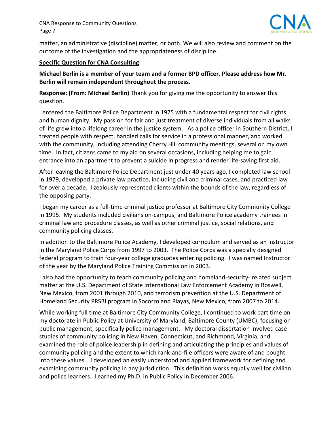

 matter, an administrative (discipline) matter, or both. We will also review and comment on the outcome of the investigation and the appropriateness of discipline.

#### **Specific Question for CNA Consulting**

Michael Berlin is a member of your team and a former BPD officer. Please address how Mr.  **Berlin will remain independent throughout the process.**

 **Response: (From: Michael Berlin)** Thank you for giving me the opportunity to answer this question.

 I entered the Baltimore Police Department in 1975 with a fundamental respect for civil rights and human dignity. My passion for fair and just treatment of diverse individuals from all walks of life grew into a lifelong career in the justice system. As a police officer in Southern District, I treated people with respect, handled calls for service in a professional manner, and worked with the community, including attending Cherry Hill community meetings, several on my own time. In fact, citizens came to my aid on several occasions, including helping me to gain entrance into an apartment to prevent a suicide in progress and render life‐saving first aid.

 After leaving the Baltimore Police Department just under 40 years ago, I completed law school in 1979, developed a private law practice, including civil and criminal cases, and practiced law for over a decade. I zealously represented clients within the bounds of the law, regardless of the opposing party.

 I began my career as a full‐time criminal justice professor at Baltimore City Community College in 1995. My students included civilians on‐campus, and Baltimore Police academy trainees in criminal law and procedure classes, as well as other criminal justice, social relations, and community policing classes.

 In addition to the Baltimore Police Academy, I developed curriculum and served as an instructor in the Maryland Police Corps from 1997 to 2003. The Police Corps was a specially designed federal program to train four‐year college graduates entering policing. I was named Instructor of the year by the Maryland Police Training Commission in 2003.

 I also had the opportunity to teach community policing and homeland‐security‐ related subject matter at the U.S. Department of State International Law Enforcement Academy in Roswell, New Mexico, from 2001 through 2010, and terrorism prevention at the U.S. Department of Homeland Security PRSBI program in Socorro and Playas, New Mexico, from 2007 to 2014.

 While working full time at Baltimore City Community College, I continued to work part time on my doctorate in Public Policy at University of Maryland, Baltimore County (UMBC), focusing on public management, specifically police management. My doctoral dissertation involved case studies of community policing in New Haven, Connecticut, and Richmond, Virginia, and examined the role of police leadership in defining and articulating the principles and values of community policing and the extent to which rank‐and‐file officers were aware of and bought into these values. I developed an easily understood and applied framework for defining and examining community policing in any jurisdiction. This definition works equally well for civilian and police learners. I earned my Ph.D. in Public Policy in December 2006.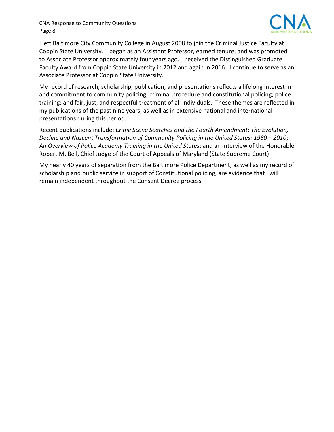

 I left Baltimore City Community College in August 2008 to join the Criminal Justice Faculty at Coppin State University. I began as an Assistant Professor, earned tenure, and was promoted to Associate Professor approximately four years ago. I received the Distinguished Graduate Faculty Award from Coppin State University in 2012 and again in 2016. I continue to serve as an Associate Professor at Coppin State University.

 My record of research, scholarship, publication, and presentations reflects a lifelong interest in and commitment to community policing; criminal procedure and constitutional policing; police training; and fair, just, and respectful treatment of all individuals. These themes are reflected in my publications of the past nine years, as well as in extensive national and international presentations during this period.

  Recent publications include: *Crime Scene Searches and the Fourth Amendment*; *The Evolution,* Decline and Nascent Transformation of Community Policing in the United States: 1980 – 2010;  *An Overview of Police Academy Training in the United States*; and an Interview of the Honorable Robert M. Bell, Chief Judge of the Court of Appeals of Maryland (State Supreme Court).

 My nearly 40 years of separation from the Baltimore Police Department, as well as my record of scholarship and public service in support of Constitutional policing, are evidence that I will remain independent throughout the Consent Decree process.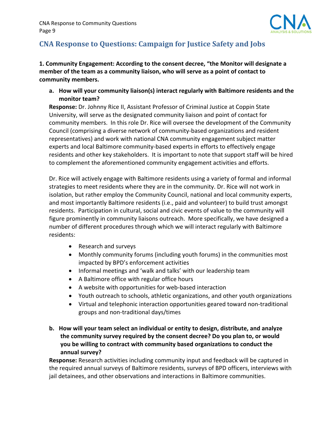

# **CNA Response to Questions: Campaign for Justice Safety and Jobs**

 **1. Community Engagement: According to the consent decree, "the Monitor will designate a** member of the team as a community liaison, who will serve as a point of contact to  **community members.**

 **a. How will your community liaison(s) interact regularly with Baltimore residents and the monitor team?**

 **Response:** Dr. Johnny Rice II, Assistant Professor of Criminal Justice at Coppin State University, will serve as the designated community liaison and point of contact for community members. In this role Dr. Rice will oversee the development of the Community Council (comprising a diverse network of community‐based organizations and resident representatives) and work with national CNA community engagement subject matter experts and local Baltimore community‐based experts in efforts to effectively engage residents and other key stakeholders. It is important to note that support staff will be hired to complement the aforementioned community engagement activities and efforts.

 Dr. Rice will actively engage with Baltimore residents using a variety of formal and informal strategies to meet residents where they are in the community. Dr. Rice will not work in isolation, but rather employ the Community Council, national and local community experts, and most importantly Baltimore residents (i.e., paid and volunteer) to build trust amongst residents. Participation in cultural, social and civic events of value to the community will figure prominently in community liaisons outreach. More specifically, we have designed a number of different procedures through which we will interact regularly with Baltimore residents:

- Research and surveys
- Monthly community forums (including youth forums) in the communities most impacted by BPD's enforcement activities
- Informal meetings and 'walk and talks' with our leadership team
- A Baltimore office with regular office hours
- A website with opportunities for web-based interaction
- Youth outreach to schools, athletic organizations, and other youth organizations
- Virtual and telephonic interaction opportunities geared toward non‐traditional groups and non‐traditional days/times
- b. How will your team select an individual or entity to design, distribute, and analyze  **the community survey required by the consent decree? Do you plan to, or would you be willing to contract with community based organizations to conduct the annual survey?**

 **Response:** Research activities including community input and feedback will be captured in the required annual surveys of Baltimore residents, surveys of BPD officers, interviews with jail detainees, and other observations and interactions in Baltimore communities.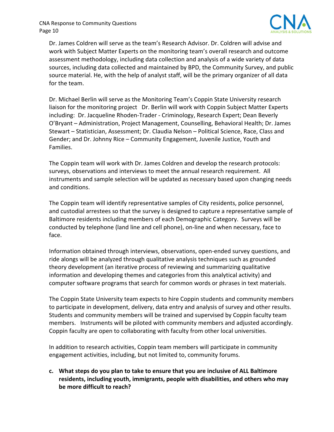

 Dr. James Coldren will serve as the team's Research Advisor. Dr. Coldren will advise and work with Subject Matter Experts on the monitoring team's overall research and outcome assessment methodology, including data collection and analysis of a wide variety of data sources, including data collected and maintained by BPD, the Community Survey, and public source material. He, with the help of analyst staff, will be the primary organizer of all data for the team.

 Dr. Michael Berlin will serve as the Monitoring Team's Coppin State University research liaison for the monitoring project Dr. Berlin will work with Coppin Subject Matter Experts including: Dr. Jacqueline Rhoden‐Trader ‐ Criminology, Research Expert; Dean Beverly O'Bryant – Administration, Project Management, Counselling, Behavioral Health; Dr. James Stewart – Statistician, Assessment; Dr. Claudia Nelson – Political Science, Race, Class and Gender; and Dr. Johnny Rice – Community Engagement, Juvenile Justice, Youth and Families.

 The Coppin team will work with Dr. James Coldren and develop the research protocols: surveys, observations and interviews to meet the annual research requirement. All instruments and sample selection will be updated as necessary based upon changing needs and conditions.

 The Coppin team will identify representative samples of City residents, police personnel, and custodial arrestees so that the survey is designed to capture a representative sample of Baltimore residents including members of each Demographic Category. Surveys will be conducted by telephone (land line and cell phone), on‐line and when necessary, face to face.

 Information obtained through interviews, observations, open‐ended survey questions, and ride alongs will be analyzed through qualitative analysis techniques such as grounded theory development (an iterative process of reviewing and summarizing qualitative information and developing themes and categories from this analytical activity) and computer software programs that search for common words or phrases in text materials.

 The Coppin State University team expects to hire Coppin students and community members to participate in development, delivery, data entry and analysis of survey and other results. Students and community members will be trained and supervised by Coppin faculty team members. Instruments will be piloted with community members and adjusted accordingly. Coppin faculty are open to collaborating with faculty from other local universities.

 In addition to research activities, Coppin team members will participate in community engagement activities, including, but not limited to, community forums.

c. What steps do you plan to take to ensure that you are inclusive of ALL Baltimore  **residents, including youth, immigrants, people with disabilities, and others who may be more difficult to reach?**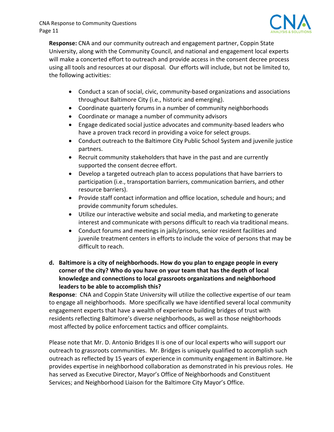

 **Response:** CNA and our community outreach and engagement partner, Coppin State University, along with the Community Council, and national and engagement local experts will make a concerted effort to outreach and provide access in the consent decree process using all tools and resources at our disposal. Our efforts will include, but not be limited to, the following activities:

- Conduct a scan of social, civic, community-based organizations and associations throughout Baltimore City (i.e., historic and emerging).
- Coordinate quarterly forums in a number of community neighborhoods
- Coordinate or manage a number of community advisors
- Engage dedicated social justice advocates and community‐based leaders who have a proven track record in providing a voice for select groups.
- Conduct outreach to the Baltimore City Public School System and juvenile justice partners.
- Recruit community stakeholders that have in the past and are currently supported the consent decree effort.
- Develop a targeted outreach plan to access populations that have barriers to participation (i.e., transportation barriers, communication barriers, and other resource barriers).
- Provide staff contact information and office location, schedule and hours; and provide community forum schedules.
- Utilize our interactive website and social media, and marketing to generate interest and communicate with persons difficult to reach via traditional means.
- Conduct forums and meetings in jails/prisons, senior resident facilities and juvenile treatment centers in efforts to include the voice of persons that may be difficult to reach.
- d. Baltimore is a city of neighborhoods. How do you plan to engage people in every corner of the city? Who do you have on your team that has the depth of local  **knowledge and connections to local grassroots organizations and neighborhood leaders to be able to accomplish this?**

 **Response**: CNA and Coppin State University will utilize the collective expertise of our team to engage all neighborhoods. More specifically we have identified several local community engagement experts that have a wealth of experience building bridges of trust with residents reflecting Baltimore's diverse neighborhoods, as well as those neighborhoods most affected by police enforcement tactics and officer complaints.

 Please note that Mr. D. Antonio Bridges II is one of our local experts who will support our outreach to grassroots communities. Mr. Bridges is uniquely qualified to accomplish such outreach as reflected by 15 years of experience in community engagement in Baltimore. He provides expertise in neighborhood collaboration as demonstrated in his previous roles. He has served as Executive Director, Mayor's Office of Neighborhoods and Constituent Services; and Neighborhood Liaison for the Baltimore City Mayor's Office.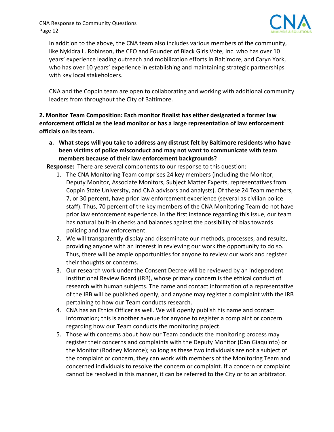

 In addition to the above, the CNA team also includes various members of the community, like Nykidra L. Robinson, the CEO and Founder of Black Girls Vote, Inc. who has over 10 years' experience leading outreach and mobilization efforts in Baltimore, and Caryn York, who has over 10 years' experience in establishing and maintaining strategic partnerships with key local stakeholders.

 CNA and the Coppin team are open to collaborating and working with additional community leaders from throughout the City of Baltimore.

 **2. Monitor Team Composition: Each monitor finalist has either designated a former law** enforcement official as the lead monitor or has a large representation of law enforcement  **officials on its team.**

a. What steps will you take to address any distrust felt by Baltimore residents who have  **been victims of police misconduct and may not want to communicate with team members because of their law enforcement backgrounds?**

**Response:** There are several components to our response to this question:

- 1. The CNA Monitoring Team comprises 24 key members (including the Monitor, Deputy Monitor, Associate Monitors, Subject Matter Experts, representatives from Coppin State University, and CNA advisors and analysts). Of these 24 Team members, 7, or 30 percent, have prior law enforcement experience (several as civilian police staff). Thus, 70 percent of the key members of the CNA Monitoring Team do not have prior law enforcement experience. In the first instance regarding this issue, our team has natural built‐in checks and balances against the possibility of bias towards policing and law enforcement.
- 2. We will transparently display and disseminate our methods, processes, and results, providing anyone with an interest in reviewing our work the opportunity to do so. Thus, there will be ample opportunities for anyone to review our work and register their thoughts or concerns.
- 3. Our research work under the Consent Decree will be reviewed by an independent Institutional Review Board (IRB), whose primary concern is the ethical conduct of research with human subjects. The name and contact information of a representative of the IRB will be published openly, and anyone may register a complaint with the IRB pertaining to how our Team conducts research.
- 4. CNA has an Ethics Officer as well. We will openly publish his name and contact information; this is another avenue for anyone to register a complaint or concern regarding how our Team conducts the monitoring project.
- 5. Those with concerns about how our Team conducts the monitoring process may register their concerns and complaints with the Deputy Monitor (Dan Giaquinto) or the Monitor (Rodney Monroe); so long as these two individuals are not a subject of the complaint or concern, they can work with members of the Monitoring Team and concerned individuals to resolve the concern or complaint. If a concern or complaint cannot be resolved in this manner, it can be referred to the City or to an arbitrator.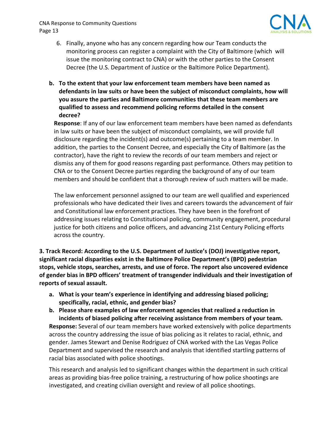

- 6. Finally, anyone who has any concern regarding how our Team conducts the monitoring process can register a complaint with the City of Baltimore (which will issue the monitoring contract to CNA) or with the other parties to the Consent Decree (the U.S. Department of Justice or the Baltimore Police Department).
- **b. To the extent that your law enforcement team members have been named as defendants in law suits or have been the subject of misconduct complaints, how will you assure the parties and Baltimore communities that these team members are qualified to assess and recommend policing reforms detailed in the consent decree?**

 **Response**: If any of our law enforcement team members have been named as defendants in law suits or have been the subject of misconduct complaints, we will provide full disclosure regarding the incident(s) and outcome(s) pertaining to a team member. In addition, the parties to the Consent Decree, and especially the City of Baltimore (as the contractor), have the right to review the records of our team members and reject or dismiss any of them for good reasons regarding past performance. Others may petition to CNA or to the Consent Decree parties regarding the background of any of our team members and should be confident that a thorough review of such matters will be made.

 The law enforcement personnel assigned to our team are well qualified and experienced professionals who have dedicated their lives and careers towards the advancement of fair and Constitutional law enforcement practices. They have been in the forefront of addressing issues relating to Constitutional policing, community engagement, procedural justice for both citizens and police officers, and advancing 21st Century Policing efforts across the country.

3. Track Record: According to the U.S. Department of Justice's (DOJ) investigative report,  **significant racial disparities exist in the Baltimore Police Department's (BPD) pedestrian** stops, vehicle stops, searches, arrests, and use of force. The report also uncovered evidence of gender bias in BPD officers' treatment of transgender individuals and their investigation of  **reports of sexual assault.**

- **a. What is your team's experience in identifying and addressing biased policing; specifically, racial, ethnic, and gender bias?**
- **b. Please share examples of law enforcement agencies that realized a reduction in incidents of biased policing after receiving assistance from members of your team. Response:** Several of our team members have worked extensively with police departments across the country addressing the issue of bias policing as it relates to racial, ethnic, and gender. James Stewart and Denise Rodriguez of CNA worked with the Las Vegas Police Department and supervised the research and analysis that identified startling patterns of racial bias associated with police shootings.

 This research and analysis led to significant changes within the department in such critical areas as providing bias‐free police training, a restructuring of how police shootings are investigated, and creating civilian oversight and review of all police shootings.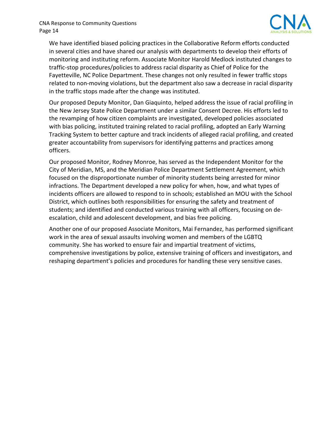

 We have identified biased policing practices in the Collaborative Reform efforts conducted in several cities and have shared our analysis with departments to develop their efforts of monitoring and instituting reform. Associate Monitor Harold Medlock instituted changes to traffic‐stop procedures/policies to address racial disparity as Chief of Police for the Fayetteville, NC Police Department. These changes not only resulted in fewer traffic stops related to non‐moving violations, but the department also saw a decrease in racial disparity in the traffic stops made after the change was instituted.

 Our proposed Deputy Monitor, Dan Giaquinto, helped address the issue of racial profiling in the New Jersey State Police Department under a similar Consent Decree. His efforts led to the revamping of how citizen complaints are investigated, developed policies associated with bias policing, instituted training related to racial profiling, adopted an Early Warning Tracking System to better capture and track incidents of alleged racial profiling, and created greater accountability from supervisors for identifying patterns and practices among officers.

 Our proposed Monitor, Rodney Monroe, has served as the Independent Monitor for the City of Meridian, MS, and the Meridian Police Department Settlement Agreement, which focused on the disproportionate number of minority students being arrested for minor infractions. The Department developed a new policy for when, how, and what types of incidents officers are allowed to respond to in schools; established an MOU with the School District, which outlines both responsibilities for ensuring the safety and treatment of students; and identified and conducted various training with all officers, focusing on de‐ escalation, child and adolescent development, and bias free policing.

 Another one of our proposed Associate Monitors, Mai Fernandez, has performed significant work in the area of sexual assaults involving women and members of the LGBTQ community. She has worked to ensure fair and impartial treatment of victims, comprehensive investigations by police, extensive training of officers and investigators, and reshaping department's policies and procedures for handling these very sensitive cases.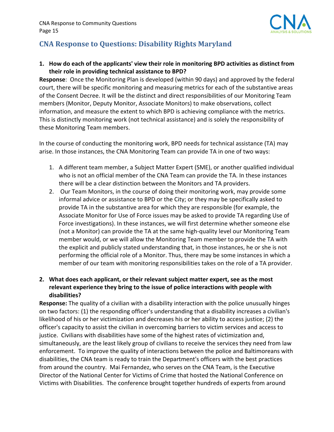

# **CNA Response to Questions: Disability Rights Maryland**

#### 1. How do each of the applicants' view their role in monitoring BPD activities as distinct from  **their role in providing technical assistance to BPD?**

 **Response**: Once the Monitoring Plan is developed (within 90 days) and approved by the federal court, there will be specific monitoring and measuring metrics for each of the substantive areas of the Consent Decree. It will be the distinct and direct responsibilities of our Monitoring Team members (Monitor, Deputy Monitor, Associate Monitors) to make observations, collect information, and measure the extent to which BPD is achieving compliance with the metrics. This is distinctly monitoring work (not technical assistance) and is solely the responsibility of these Monitoring Team members.

 In the course of conducting the monitoring work, BPD needs for technical assistance (TA) may arise. In those instances, the CNA Monitoring Team can provide TA in one of two ways:

- 1. A different team member, a Subject Matter Expert (SME), or another qualified individual who is not an official member of the CNA Team can provide the TA. In these instances there will be a clear distinction between the Monitors and TA providers.
- 2. Our Team Monitors, in the course of doing their monitoring work, may provide some informal advice or assistance to BPD or the City; or they may be specifically asked to provide TA in the substantive area for which they are responsible (for example, the Associate Monitor for Use of Force issues may be asked to provide TA regarding Use of Force investigations). In these instances, we will first determine whether someone else (not a Monitor) can provide the TA at the same high‐quality level our Monitoring Team member would, or we will allow the Monitoring Team member to provide the TA with the explicit and publicly stated understanding that, in those instances, he or she is not performing the official role of a Monitor. Thus, there may be some instances in which a member of our team with monitoring responsibilities takes on the role of a TA provider.

#### 2. What does each applicant, or their relevant subject matter expert, see as the most  **relevant experience they bring to the issue of police interactions with people with disabilities?**

 **Response:** The quality of a civilian with a disability interaction with the police unusually hinges on two factors: (1) the responding officer's understanding that a disability increases a civilian's likelihood of his or her victimization and decreases his or her ability to access justice; (2) the officer's capacity to assist the civilian in overcoming barriers to victim services and access to justice. Civilians with disabilities have some of the highest rates of victimization and, simultaneously, are the least likely group of civilians to receive the services they need from law enforcement. To improve the quality of interactions between the police and Baltimoreans with disabilities, the CNA team is ready to train the Department's officers with the best practices from around the country. Mai Fernandez, who serves on the CNA Team, is the Executive Director of the National Center for Victims of Crime that hosted the National Conference on Victims with Disabilities. The conference brought together hundreds of experts from around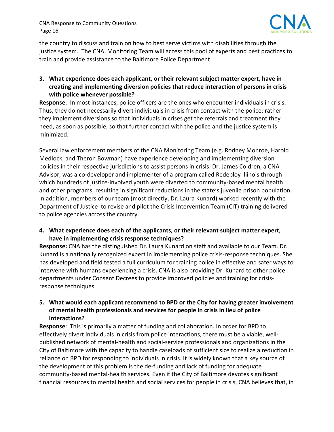

 the country to discuss and train on how to best serve victims with disabilities through the justice system. The CNA Monitoring Team will access this pool of experts and best practices to train and provide assistance to the Baltimore Police Department.

 **3. What experience does each applicant, or their relevant subject matter expert, have in creating and implementing diversion policies that reduce interaction of persons in crisis with police whenever possible?**

 **Response**: In most instances, police officers are the ones who encounter individuals in crisis. Thus, they do not necessarily divert individuals in crisis from contact with the police; rather they implement diversions so that individuals in crises get the referrals and treatment they need, as soon as possible, so that further contact with the police and the justice system is minimized.

 Several law enforcement members of the CNA Monitoring Team (e.g. Rodney Monroe, Harold Medlock, and Theron Bowman) have experience developing and implementing diversion policies in their respective jurisdictions to assist persons in crisis. Dr. James Coldren, a CNA Advisor, was a co‐developer and implementer of a program called Redeploy Illinois through which hundreds of justice‐involved youth were diverted to community‐based mental health and other programs, resulting in significant reductions in the state's juvenile prison population. In addition, members of our team (most directly, Dr. Laura Kunard) worked recently with the Department of Justice to revise and pilot the Crisis Intervention Team (CIT) training delivered to police agencies across the country.

 **4. What experience does each of the applicants, or their relevant subject matter expert, have in implementing crisis response techniques?**

 **Response:** CNA has the distinguished Dr. Laura Kunard on staff and available to our Team. Dr. Kunard is a nationally recognized expert in implementing police crisis‐response techniques. She has developed and field tested a full curriculum for training police in effective and safer ways to intervene with humans experiencing a crisis. CNA is also providing Dr. Kunard to other police departments under Consent Decrees to provide improved policies and training for crisis‐ response techniques.

#### 5. What would each applicant recommend to BPD or the City for having greater involvement  **of mental health professionals and services for people in crisis in lieu of police interactions?**

 **Response**: This is primarily a matter of funding and collaboration. In order for BPD to effectively divert individuals in crisis from police interactions, there must be a viable, well‐ published network of mental‐health and social‐service professionals and organizations in the City of Baltimore with the capacity to handle caseloads of sufficient size to realize a reduction in reliance on BPD for responding to individuals in crisis. It is widely known that a key source of the development of this problem is the de‐funding and lack of funding for adequate community‐based mental‐health services. Even if the City of Baltimore devotes significant financial resources to mental health and social services for people in crisis, CNA believes that, in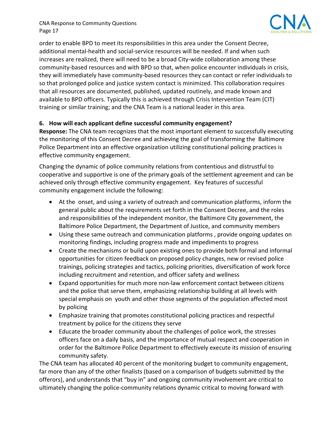

 order to enable BPD to meet its responsibilities in this area under the Consent Decree, additional mental‐health and social‐service resources will be needed. If and when such increases are realized, there will need to be a broad City‐wide collaboration among these community‐based resources and with BPD so that, when police encounter individuals in crisis, they will immediately have community‐based resources they can contact or refer individuals to so that prolonged police and justice system contact is minimized. This collaboration requires that all resources are documented, published, updated routinely, and made known and available to BPD officers. Typically this is achieved through Crisis Intervention Team (CIT) training or similar training; and the CNA Team is a national leader in this area.

#### **6. How will each applicant define successful community engagement?**

 **Response:** The CNA team recognizes that the most important element to successfully executing the monitoring of this Consent Decree and achieving the goal of transforming the Baltimore Police Department into an effective organization utilizing constitutional policing practices is effective community engagement.

 Changing the dynamic of police community relations from contentious and distrustful to cooperative and supportive is one of the primary goals of the settlement agreement and can be achieved only through effective community engagement. Key features of successful community engagement include the following:

- At the onset, and using a variety of outreach and communication platforms, inform the general public about the requirements set forth in the Consent Decree, and the roles and responsibilities of the independent monitor, the Baltimore City government, the Baltimore Police Department, the Department of Justice, and community members
- Using these same outreach and communication platforms , provide ongoing updates on monitoring findings, including progress made and impediments to progress
- Create the mechanisms or build upon existing ones to provide both formal and informal opportunities for citizen feedback on proposed policy changes, new or revised police trainings, policing strategies and tactics, policing priorities, diversification of work force including recruitment and retention, and officer safety and wellness
- Expand opportunities for much more non‐law enforcement contact between citizens and the police that serve them, emphasizing relationship building at all levels with special emphasis on youth and other those segments of the population affected most by policing
- Emphasize training that promotes constitutional policing practices and respectful treatment by police for the citizens they serve
- Educate the broader community about the challenges of police work, the stresses officers face on a daily basis, and the importance of mutual respect and cooperation in order for the Baltimore Police Department to effectively execute its mission of ensuring community safety.

 The CNA team has allocated 40 percent of the monitoring budget to community engagement, far more than any of the other finalists (based on a comparison of budgets submitted by the offerors), and understands that "buy in" and ongoing community involvement are critical to ultimately changing the police‐community relations dynamic critical to moving forward with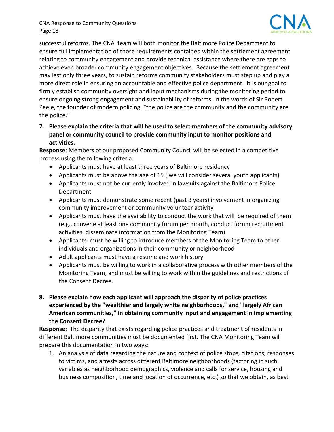

 successful reforms. The CNA team will both monitor the Baltimore Police Department to ensure full implementation of those requirements contained within the settlement agreement relating to community engagement and provide technical assistance where there are gaps to achieve even broader community engagement objectives. Because the settlement agreement may last only three years, to sustain reforms community stakeholders must step up and play a more direct role in ensuring an accountable and effective police department. It is our goal to firmly establish community oversight and input mechanisms during the monitoring period to ensure ongoing strong engagement and sustainability of reforms. In the words of Sir Robert Peele, the founder of modern policing, "the police are the community and the community are the police."

7. Please explain the criteria that will be used to select members of the community advisory  **panel or community council to provide community input to monitor positions and activities.**

 **Response**: Members of our proposed Community Council will be selected in a competitive process using the following criteria:

- Applicants must have at least three years of Baltimore residency
- Applicants must be above the age of 15 ( we will consider several youth applicants)
- Applicants must not be currently involved in lawsuits against the Baltimore Police Department
- Applicants must demonstrate some recent (past 3 years) involvement in organizing community improvement or community volunteer activity
- Applicants must have the availability to conduct the work that will be required of them (e.g., convene at least one community forum per month, conduct forum recruitment activities, disseminate information from the Monitoring Team)
- Applicants must be willing to introduce members of the Monitoring Team to other individuals and organizations in their community or neighborhood
- Adult applicants must have a resume and work history
- Applicants must be willing to work in a collaborative process with other members of the Monitoring Team, and must be willing to work within the guidelines and restrictions of the Consent Decree.
- **8. Please explain how each applicant will approach the disparity of police practices experienced by the "wealthier and largely white neighborhoods," and "largely African American communities," in obtaining community input and engagement in implementing the Consent Decree?**

 **Response**: The disparity that exists regarding police practices and treatment of residents in different Baltimore communities must be documented first. The CNA Monitoring Team will prepare this documentation in two ways:

1. An analysis of data regarding the nature and context of police stops, citations, responses to victims, and arrests across different Baltimore neighborhoods (factoring in such variables as neighborhood demographics, violence and calls for service, housing and business composition, time and location of occurrence, etc.) so that we obtain, as best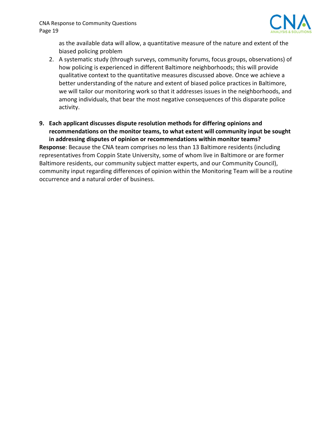

 as the available data will allow, a quantitative measure of the nature and extent of the biased policing problem

- 2. A systematic study (through surveys, community forums, focus groups, observations) of how policing is experienced in different Baltimore neighborhoods; this will provide qualitative context to the quantitative measures discussed above. Once we achieve a better understanding of the nature and extent of biased police practices in Baltimore, we will tailor our monitoring work so that it addresses issues in the neighborhoods, and among individuals, that bear the most negative consequences of this disparate police activity.
- **9. Each applicant discusses dispute resolution methods for differing opinions and recommendations on the monitor teams, to what extent will community input be sought in addressing disputes of opinion or recommendations within monitor teams?**

 **Response**: Because the CNA team comprises no less than 13 Baltimore residents (including representatives from Coppin State University, some of whom live in Baltimore or are former Baltimore residents, our community subject matter experts, and our Community Council), community input regarding differences of opinion within the Monitoring Team will be a routine occurrence and a natural order of business.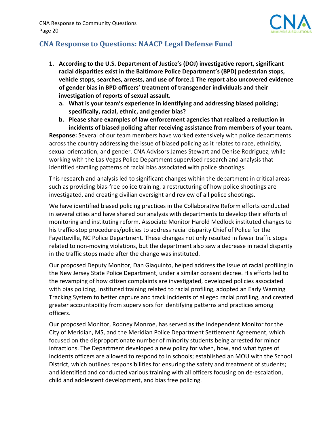

# **CNA Response to Questions: NAACP Legal Defense Fund**

- **1. According to the U.S. Department of Justice's (DOJ) investigative report, significant racial disparities exist in the Baltimore Police Department's (BPD) pedestrian stops, vehicle stops, searches, arrests, and use of force.1 The report also uncovered evidence of gender bias in BPD officers' treatment of transgender individuals and their investigation of reports of sexual assault.**
	- **a. What is your team's experience in identifying and addressing biased policing; specifically, racial, ethnic, and gender bias?**
	- **b. Please share examples of law enforcement agencies that realized a reduction in incidents of biased policing after receiving assistance from members of your team.**

 **Response:** Several of our team members have worked extensively with police departments across the country addressing the issue of biased policing as it relates to race, ethnicity, sexual orientation, and gender. CNA Advisors James Stewart and Denise Rodriguez, while working with the Las Vegas Police Department supervised research and analysis that identified startling patterns of racial bias associated with police shootings.

 This research and analysis led to significant changes within the department in critical areas such as providing bias‐free police training, a restructuring of how police shootings are investigated, and creating civilian oversight and review of all police shootings.

 We have identified biased policing practices in the Collaborative Reform efforts conducted in several cities and have shared our analysis with departments to develop their efforts of monitoring and instituting reform. Associate Monitor Harold Medlock instituted changes to his traffic‐stop procedures/policies to address racial disparity Chief of Police for the Fayetteville, NC Police Department. These changes not only resulted in fewer traffic stops related to non‐moving violations, but the department also saw a decrease in racial disparity in the traffic stops made after the change was instituted.

 Our proposed Deputy Monitor, Dan Giaquinto, helped address the issue of racial profiling in the New Jersey State Police Department, under a similar consent decree. His efforts led to the revamping of how citizen complaints are investigated, developed policies associated with bias policing, instituted training related to racial profiling, adopted an Early Warning Tracking System to better capture and track incidents of alleged racial profiling, and created greater accountability from supervisors for identifying patterns and practices among officers.

 Our proposed Monitor, Rodney Monroe, has served as the Independent Monitor for the City of Meridian, MS, and the Meridian Police Department Settlement Agreement, which focused on the disproportionate number of minority students being arrested for minor infractions. The Department developed a new policy for when, how, and what types of incidents officers are allowed to respond to in schools; established an MOU with the School District, which outlines responsibilities for ensuring the safety and treatment of students; and identified and conducted various training with all officers focusing on de‐escalation, child and adolescent development, and bias free policing.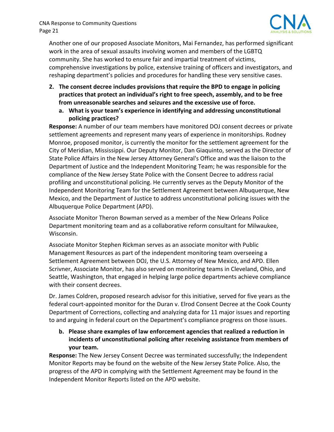

 Another one of our proposed Associate Monitors, Mai Fernandez, has performed significant work in the area of sexual assaults involving women and members of the LGBTQ community. She has worked to ensure fair and impartial treatment of victims, comprehensive investigations by police, extensive training of officers and investigators, and reshaping department's policies and procedures for handling these very sensitive cases.

- **2. The consent decree includes provisions that require the BPD to engage in policing practices that protect an individual's right to free speech, assembly, and to be free from unreasonable searches and seizures and the excessive use of force.**
	- **a. What is your team's experience in identifying and addressing unconstitutional policing practices?**

 **Response:** A number of our team members have monitored DOJ consent decrees or private settlement agreements and represent many years of experience in monitorships. Rodney Monroe, proposed monitor, is currently the monitor for the settlement agreement for the City of Meridian, Mississippi. Our Deputy Monitor, Dan Giaquinto, served as the Director of State Police Affairs in the New Jersey Attorney General's Office and was the liaison to the Department of Justice and the Independent Monitoring Team; he was responsible for the compliance of the New Jersey State Police with the Consent Decree to address racial profiling and unconstitutional policing. He currently serves as the Deputy Monitor of the Independent Monitoring Team for the Settlement Agreement between Albuquerque, New Mexico, and the Department of Justice to address unconstitutional policing issues with the Albuquerque Police Department (APD).

 Associate Monitor Theron Bowman served as a member of the New Orleans Police Department monitoring team and as a collaborative reform consultant for Milwaukee, Wisconsin.

 Associate Monitor Stephen Rickman serves as an associate monitor with Public Management Resources as part of the independent monitoring team overseeing a Settlement Agreement between DOJ, the U.S. Attorney of New Mexico, and APD. Ellen Scrivner, Associate Monitor, has also served on monitoring teams in Cleveland, Ohio, and Seattle, Washington, that engaged in helping large police departments achieve compliance with their consent decrees.

 Dr. James Coldren, proposed research advisor for this initiative, served for five years as the federal court‐appointed monitor for the Duran v. Elrod Consent Decree at the Cook County Department of Corrections, collecting and analyzing data for 11 major issues and reporting  to and arguing in federal court on the Department's compliance progress on those issues.

 **b. Please share examples of law enforcement agencies that realized a reduction in incidents of unconstitutional policing after receiving assistance from members of your team.**

 **Response:** The New Jersey Consent Decree was terminated successfully; the Independent Monitor Reports may be found on the website of the New Jersey State Police. Also, the progress of the APD in complying with the Settlement Agreement may be found in the  Independent Monitor Reports listed on the APD website.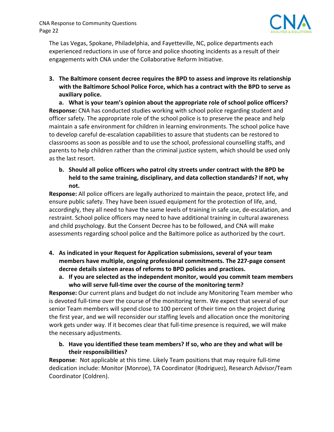

 The Las Vegas, Spokane, Philadelphia, and Fayetteville, NC, police departments each experienced reductions in use of force and police shooting incidents as a result of their engagements with CNA under the Collaborative Reform Initiative.

 **3. The Baltimore consent decree requires the BPD to assess and improve its relationship** with the Baltimore School Police Force, which has a contract with the BPD to serve as  **auxiliary police.**

 **a. What is your team's opinion about the appropriate role of school police officers? Response:** CNA has conducted studies working with school police regarding student and officer safety. The appropriate role of the school police is to preserve the peace and help maintain a safe environment for children in learning environments. The school police have to develop careful de‐escalation capabilities to assure that students can be restored to classrooms as soon as possible and to use the school, professional counselling staffs, and parents to help children rather than the criminal justice system, which should be used only as the last resort.

b. Should all police officers who patrol city streets under contract with the BPD be  **held to the same training, disciplinary, and data collection standards? If not, why not.**

 **Response:** All police officers are legally authorized to maintain the peace, protect life, and ensure public safety. They have been issued equipment for the protection of life, and, accordingly, they all need to have the same levels of training in safe use, de‐escalation, and restraint. School police officers may need to have additional training in cultural awareness and child psychology. But the Consent Decree has to be followed, and CNA will make assessments regarding school police and the Baltimore police as authorized by the court.

- **4. As indicated in your Request for Application submissions, several of your team members have multiple, ongoing professional commitments. The 227‐page consent decree details sixteen areas of reforms to BPD policies and practices.**
	- **a. If you are selected as the independent monitor, would you commit team members who will serve full‐time over the course of the monitoring term?**

 **Response:** Our current plans and budget do not include any Monitoring Team member who is devoted full‐time over the course of the monitoring term. We expect that several of our senior Team members will spend close to 100 percent of their time on the project during the first year, and we will reconsider our staffing levels and allocation once the monitoring work gets under way. If it becomes clear that full‐time presence is required, we will make the necessary adjustments.

b. Have you identified these team members? If so, who are they and what will be **their responsibilities?**

 **Response**: Not applicable at this time. Likely Team positions that may require full‐time dedication include: Monitor (Monroe), TA Coordinator (Rodriguez), Research Advisor/Team Coordinator (Coldren).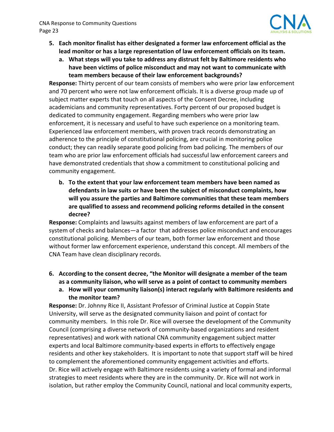

- 5. Each monitor finalist has either designated a former law enforcement official as the lead monitor or has a large representation of law enforcement officials on its team.
	- **a. What steps will you take to address any distrust felt by Baltimore residents who have been victims of police misconduct and may not want to communicate with team members because of their law enforcement backgrounds?**

 **Response:** Thirty percent of our team consists of members who were prior law enforcement and 70 percent who were not law enforcement officials. It is a diverse group made up of subject matter experts that touch on all aspects of the Consent Decree, including academicians and community representatives. Forty percent of our proposed budget is dedicated to community engagement. Regarding members who were prior law enforcement, it is necessary and useful to have such experience on a monitoring team. Experienced law enforcement members, with proven track records demonstrating an adherence to the principle of constitutional policing, are crucial in monitoring police conduct; they can readily separate good policing from bad policing. The members of our team who are prior law enforcement officials had successful law enforcement careers and have demonstrated credentials that show a commitment to constitutional policing and community engagement.

 **b. To the extent that your law enforcement team members have been named as defendants in law suits or have been the subject of misconduct complaints, how will you assure the parties and Baltimore communities that these team members are qualified to assess and recommend policing reforms detailed in the consent decree?**

 **Response:** Complaints and lawsuits against members of law enforcement are part of a system of checks and balances—a factor that addresses police misconduct and encourages constitutional policing. Members of our team, both former law enforcement and those without former law enforcement experience, understand this concept. All members of the CNA Team have clean disciplinary records.

- 6. According to the consent decree, "the Monitor will designate a member of the team  **as a community liaison, who will serve as a point of contact to community members**
	- **a. How will your community liaison(s) interact regularly with Baltimore residents and the monitor team?**

 **Response:** Dr. Johnny Rice II, Assistant Professor of Criminal Justice at Coppin State University, will serve as the designated community liaison and point of contact for community members. In this role Dr. Rice will oversee the development of the Community Council (comprising a diverse network of community‐based organizations and resident representatives) and work with national CNA community engagement subject matter experts and local Baltimore community‐based experts in efforts to effectively engage residents and other key stakeholders. It is important to note that support staff will be hired to complement the aforementioned community engagement activities and efforts. Dr. Rice will actively engage with Baltimore residents using a variety of formal and informal strategies to meet residents where they are in the community. Dr. Rice will not work in isolation, but rather employ the Community Council, national and local community experts,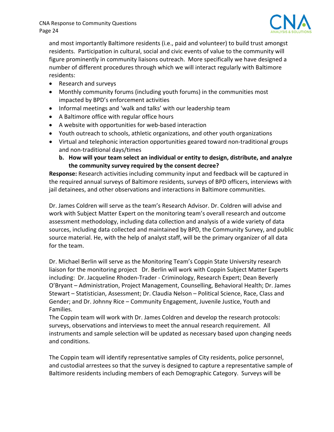

 and most importantly Baltimore residents (i.e., paid and volunteer) to build trust amongst residents. Participation in cultural, social and civic events of value to the community will figure prominently in community liaisons outreach. More specifically we have designed a number of different procedures through which we will interact regularly with Baltimore residents:

- Research and surveys
- Monthly community forums (including youth forums) in the communities most impacted by BPD's enforcement activities
- Informal meetings and 'walk and talks' with our leadership team
- A Baltimore office with regular office hours
- A website with opportunities for web-based interaction
- Youth outreach to schools, athletic organizations, and other youth organizations
- Virtual and telephonic interaction opportunities geared toward non-traditional groups and non‐traditional days/times
	- b. How will your team select an individual or entity to design, distribute, and analyze  **the community survey required by the consent decree?**

 **Response:** Research activities including community input and feedback will be captured in the required annual surveys of Baltimore residents, surveys of BPD officers, interviews with jail detainees, and other observations and interactions in Baltimore communities.

 Dr. James Coldren will serve as the team's Research Advisor. Dr. Coldren will advise and work with Subject Matter Expert on the monitoring team's overall research and outcome assessment methodology, including data collection and analysis of a wide variety of data sources, including data collected and maintained by BPD, the Community Survey, and public source material. He, with the help of analyst staff, will be the primary organizer of all data for the team.

 Dr. Michael Berlin will serve as the Monitoring Team's Coppin State University research liaison for the monitoring project Dr. Berlin will work with Coppin Subject Matter Experts including: Dr. Jacqueline Rhoden‐Trader ‐ Criminology, Research Expert; Dean Beverly O'Bryant – Administration, Project Management, Counselling, Behavioral Health; Dr. James Stewart – Statistician, Assessment; Dr. Claudia Nelson – Political Science, Race, Class and Gender; and Dr. Johnny Rice – Community Engagement, Juvenile Justice, Youth and Families.

 The Coppin team will work with Dr. James Coldren and develop the research protocols: surveys, observations and interviews to meet the annual research requirement. All instruments and sample selection will be updated as necessary based upon changing needs and conditions.

 The Coppin team will identify representative samples of City residents, police personnel, and custodial arrestees so that the survey is designed to capture a representative sample of Baltimore residents including members of each Demographic Category. Surveys will be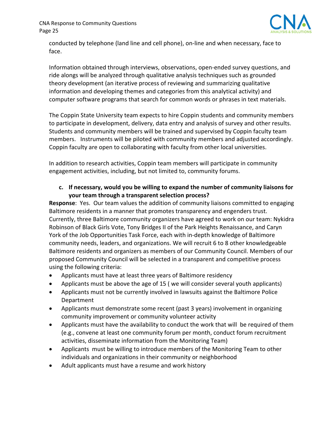

 conducted by telephone (land line and cell phone), on‐line and when necessary, face to face.

 Information obtained through interviews, observations, open‐ended survey questions, and ride alongs will be analyzed through qualitative analysis techniques such as grounded theory development (an iterative process of reviewing and summarizing qualitative information and developing themes and categories from this analytical activity) and computer software programs that search for common words or phrases in text materials.

 The Coppin State University team expects to hire Coppin students and community members to participate in development, delivery, data entry and analysis of survey and other results. Students and community members will be trained and supervised by Coppin faculty team members. Instruments will be piloted with community members and adjusted accordingly. Coppin faculty are open to collaborating with faculty from other local universities.

 In addition to research activities, Coppin team members will participate in community engagement activities, including, but not limited to, community forums.

 **c. If necessary, would you be willing to expand the number of community liaisons for your team through a transparent selection process?**

 **Response**: Yes. Our team values the addition of community liaisons committed to engaging Baltimore residents in a manner that promotes transparency and engenders trust. Currently, three Baltimore community organizers have agreed to work on our team: Nykidra Robinson of Black Girls Vote, Tony Bridges II of the Park Heights Renaissance, and Caryn York of the Job Opportunities Task Force, each with in‐depth knowledge of Baltimore community needs, leaders, and organizations. We will recruit 6 to 8 other knowledgeable Baltimore residents and organizers as members of our Community Council. Members of our proposed Community Council will be selected in a transparent and competitive process using the following criteria:

- Applicants must have at least three years of Baltimore residency
- Applicants must be above the age of 15 ( we will consider several youth applicants)
- Applicants must not be currently involved in lawsuits against the Baltimore Police Department
- Applicants must demonstrate some recent (past 3 years) involvement in organizing community improvement or community volunteer activity
- Applicants must have the availability to conduct the work that will be required of them (e.g., convene at least one community forum per month, conduct forum recruitment activities, disseminate information from the Monitoring Team)
- Applicants must be willing to introduce members of the Monitoring Team to other individuals and organizations in their community or neighborhood
- Adult applicants must have a resume and work history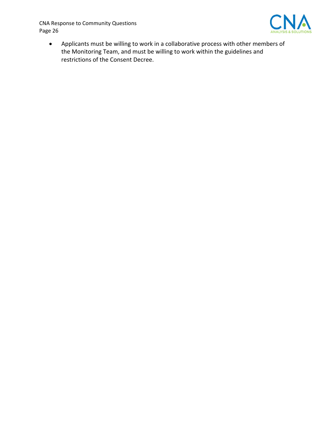

 Applicants must be willing to work in a collaborative process with other members of the Monitoring Team, and must be willing to work within the guidelines and restrictions of the Consent Decree.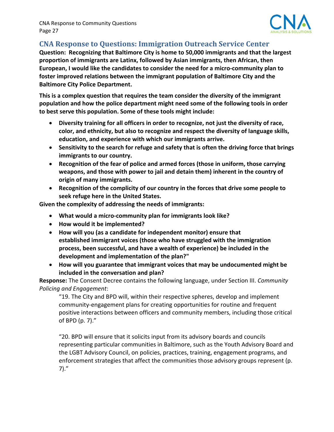

# **CNA Response to Questions: Immigration Outreach Service Center**

Question: Recognizing that Baltimore City is home to 50,000 immigrants and that the largest  **proportion of immigrants are Latinx, followed by Asian immigrants, then African, then** European, I would like the candidates to consider the need for a micro-community plan to  **foster improved relations between the immigrant population of Baltimore City and the Baltimore City Police Department.**

This is a complex question that requires the team consider the diversity of the immigrant population and how the police department might need some of the following tools in order  **to best serve this population. Some of these tools might include:**

- Diversity training for all officers in order to recognize, not just the diversity of race,  **color, and ethnicity, but also to recognize and respect the diversity of language skills, education, and experience with which our immigrants arrive.**
- Sensitivity to the search for refuge and safety that is often the driving force that brings  **immigrants to our country.**
- **Recognition of the fear of police and armed forces (those in uniform, those carrying weapons, and those with power to jail and detain them) inherent in the country of origin of many immigrants.**
- Recognition of the complicity of our country in the forces that drive some people to  **seek refuge here in the United States.**

 **Given the complexity of addressing the needs of immigrants:**

- **What would a micro‐community plan for immigrants look like?**
- **How would it be implemented?**
- **How will you (as a candidate for independent monitor) ensure that established immigrant voices (those who have struggled with the immigration process, been successful, and have a wealth of experience) be included in the development and implementation of the plan?"**
- **How will you guarantee that immigrant voices that may be undocumented might be included in the conversation and plan?**

 **Response:** The Consent Decree contains the following language, under Section III. *Community Policing and Engagement*:

 "19. The City and BPD will, within their respective spheres, develop and implement community‐engagement plans for creating opportunities for routine and frequent positive interactions between officers and community members, including those critical of BPD (p. 7)."

 "20. BPD will ensure that it solicits input from its advisory boards and councils representing particular communities in Baltimore, such as the Youth Advisory Board and the LGBT Advisory Council, on policies, practices, training, engagement programs, and enforcement strategies that affect the communities those advisory groups represent (p. 7)."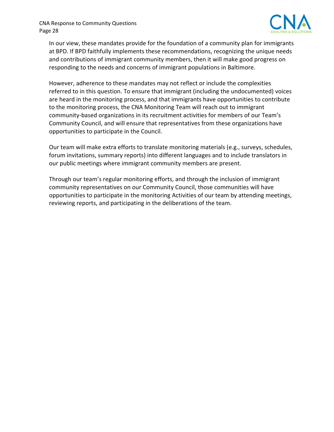

 In our view, these mandates provide for the foundation of a community plan for immigrants at BPD. If BPD faithfully implements these recommendations, recognizing the unique needs and contributions of immigrant community members, then it will make good progress on responding to the needs and concerns of immigrant populations in Baltimore.

 However, adherence to these mandates may not reflect or include the complexities referred to in this question. To ensure that immigrant (including the undocumented) voices are heard in the monitoring process, and that immigrants have opportunities to contribute to the monitoring process, the CNA Monitoring Team will reach out to immigrant community‐based organizations in its recruitment activities for members of our Team's Community Council, and will ensure that representatives from these organizations have opportunities to participate in the Council.

 Our team will make extra efforts to translate monitoring materials (e.g., surveys, schedules, forum invitations, summary reports) into different languages and to include translators in our public meetings where immigrant community members are present.

 Through our team's regular monitoring efforts, and through the inclusion of immigrant community representatives on our Community Council, those communities will have opportunities to participate in the monitoring Activities of our team by attending meetings, reviewing reports, and participating in the deliberations of the team.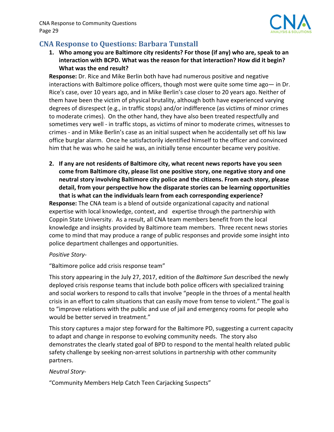

## **CNA Response to Questions: Barbara Tunstall**

1. Who among you are Baltimore city residents? For those (if any) who are, speak to an  **interaction with BCPD. What was the reason for that interaction? How did it begin? What was the end result?**

 **Response:** Dr. Rice and Mike Berlin both have had numerous positive and negative interactions with Baltimore police officers, though most were quite some time ago— in Dr. Rice's case, over 10 years ago, and in Mike Berlin's case closer to 20 years ago. Neither of them have been the victim of physical brutality, although both have experienced varying degrees of disrespect (e.g., in traffic stops) and/or indifference (as victims of minor crimes to moderate crimes). On the other hand, they have also been treated respectfully and sometimes very well ‐ in traffic stops, as victims of minor to moderate crimes, witnesses to crimes ‐ and in Mike Berlin's case as an initial suspect when he accidentally set off his law office burglar alarm. Once he satisfactorily identified himself to the officer and convinced him that he was who he said he was, an initially tense encounter became very positive.

2. If any are not residents of Baltimore city, what recent news reports have you seen  **come from Baltimore city, please list one positive story, one negative story and one neutral story involving Baltimore city police and the citizens. From each story, please detail, from your perspective how the disparate stories can be learning opportunities that is what can the individuals learn from each corresponding experience?**

 **Response:** The CNA team is a blend of outside organizational capacity and national expertise with local knowledge, context, and expertise through the partnership with Coppin State University. As a result, all CNA team members benefit from the local knowledge and insights provided by Baltimore team members. Three recent news stories come to mind that may produce a range of public responses and provide some insight into police department challenges and opportunities.

#### *Positive Story‐*

"Baltimore police add crisis response team"

 This story appearing in the July 27, 2017, edition of the *Baltimore Sun* described the newly deployed crisis response teams that include both police officers with specialized training and social workers to respond to calls that involve "people in the throes of a mental health crisis in an effort to calm situations that can easily move from tense to violent." The goal is to "improve relations with the public and use of jail and emergency rooms for people who would be better served in treatment."

 This story captures a major step forward for the Baltimore PD, suggesting a current capacity to adapt and change in response to evolving community needs. The story also demonstrates the clearly stated goal of BPD to respond to the mental health related public safety challenge by seeking non‐arrest solutions in partnership with other community partners.

#### *Neutral Story‐*

"Community Members Help Catch Teen Carjacking Suspects"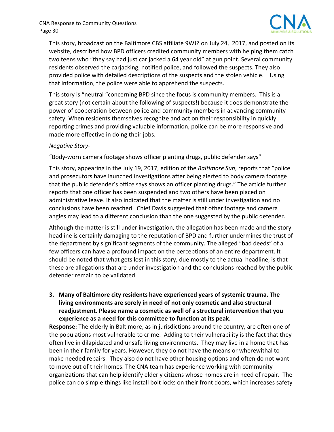

 This story, broadcast on the Baltimore CBS affiliate 9WJZ on July 24, 2017, and posted on its website, described how BPD officers credited community members with helping them catch two teens who "they say had just car jacked a 64 year old" at gun point. Several community residents observed the carjacking, notified police, and followed the suspects. They also provided police with detailed descriptions of the suspects and the stolen vehicle. Using that information, the police were able to apprehend the suspects.

 This story is "neutral "concerning BPD since the focus is community members. This is a great story (not certain about the following of suspects!) because it does demonstrate the power of cooperation between police and community members in advancing community safety. When residents themselves recognize and act on their responsibility in quickly reporting crimes and providing valuable information, police can be more responsive and made more effective in doing their jobs.

#### *Negative Story‐*

"Body‐worn camera footage shows officer planting drugs, public defender says"

 This story, appearing in the July 19, 2017, edition of the *Baltimore Sun*, reports that "police and prosecutors have launched investigations after being alerted to body camera footage that the public defender's office says shows an officer planting drugs." The article further reports that one officer has been suspended and two others have been placed on administrative leave. It also indicated that the matter is still under investigation and no conclusions have been reached. Chief Davis suggested that other footage and camera angles may lead to a different conclusion than the one suggested by the public defender.

 Although the matter is still under investigation, the allegation has been made and the story headline is certainly damaging to the reputation of BPD and further undermines the trust of the department by significant segments of the community. The alleged "bad deeds" of a few officers can have a profound impact on the perceptions of an entire department. It should be noted that what gets lost in this story, due mostly to the actual headline, is that these are allegations that are under investigation and the conclusions reached by the public defender remain to be validated.

#### **3. Many of Baltimore city residents have experienced years of systemic trauma. The living environments are sorely in need of not only cosmetic and also structural readjustment. Please name a cosmetic as well of a structural intervention that you experience as a need for this committee to function at its peak.**

 **Response:** The elderly in Baltimore, as in jurisdictions around the country, are often one of the populations most vulnerable to crime. Adding to their vulnerability is the fact that they often live in dilapidated and unsafe living environments. They may live in a home that has been in their family for years. However, they do not have the means or wherewithal to make needed repairs. They also do not have other housing options and often do not want to move out of their homes. The CNA team has experience working with community organizations that can help identify elderly citizens whose homes are in need of repair. The police can do simple things like install bolt locks on their front doors, which increases safety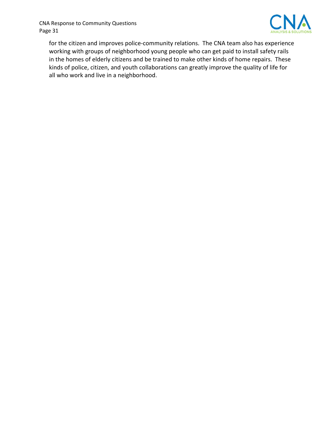

 for the citizen and improves police‐community relations. The CNA team also has experience working with groups of neighborhood young people who can get paid to install safety rails in the homes of elderly citizens and be trained to make other kinds of home repairs. These kinds of police, citizen, and youth collaborations can greatly improve the quality of life for all who work and live in a neighborhood.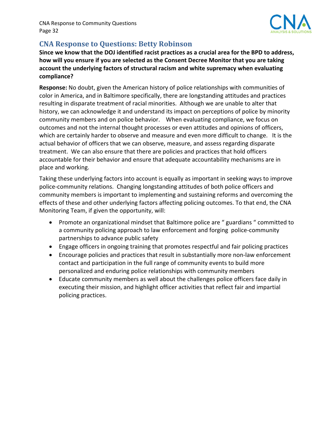

# **CNA Response to Questions: Betty Robinson**

Since we know that the DOJ identified racist practices as a crucial area for the BPD to address, how will you ensure if you are selected as the Consent Decree Monitor that you are taking  **account the underlying factors of structural racism and white supremacy when evaluating compliance?**

 **Response:** No doubt, given the American history of police relationships with communities of color in America, and in Baltimore specifically, there are longstanding attitudes and practices resulting in disparate treatment of racial minorities. Although we are unable to alter that history, we can acknowledge it and understand its impact on perceptions of police by minority community members and on police behavior. When evaluating compliance, we focus on outcomes and not the internal thought processes or even attitudes and opinions of officers, which are certainly harder to observe and measure and even more difficult to change. It is the actual behavior of officers that we can observe, measure, and assess regarding disparate treatment. We can also ensure that there are policies and practices that hold officers accountable for their behavior and ensure that adequate accountability mechanisms are in place and working.

 Taking these underlying factors into account is equally as important in seeking ways to improve police‐community relations. Changing longstanding attitudes of both police officers and community members is important to implementing and sustaining reforms and overcoming the effects of these and other underlying factors affecting policing outcomes. To that end, the CNA Monitoring Team, if given the opportunity, will:

- Promote an organizational mindset that Baltimore police are " guardians " committed to a community policing approach to law enforcement and forging police‐community partnerships to advance public safety
- Engage officers in ongoing training that promotes respectful and fair policing practices
- Encourage policies and practices that result in substantially more non-law enforcement contact and participation in the full range of community events to build more personalized and enduring police relationships with community members
- Educate community members as well about the challenges police officers face daily in executing their mission, and highlight officer activities that reflect fair and impartial policing practices.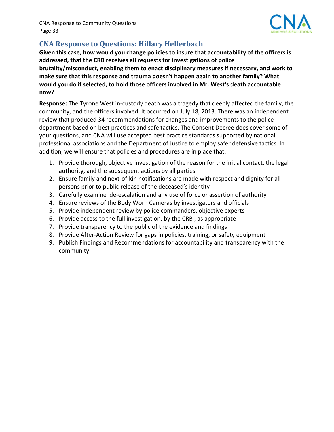

# **CNA Response to Questions: Hillary Hellerbach**

Given this case, how would you change policies to insure that accountability of the officers is  **addressed, that the CRB receives all requests for investigations of police brutality/misconduct, enabling them to enact disciplinary measures if necessary, and work to make sure that this response and trauma doesn't happen again to another family? What** would you do if selected, to hold those officers involved in Mr. West's death accountable **now?**

 **Response:** The Tyrone West in‐custody death was a tragedy that deeply affected the family, the community, and the officers involved. It occurred on July 18, 2013. There was an independent review that produced 34 recommendations for changes and improvements to the police department based on best practices and safe tactics. The Consent Decree does cover some of your questions, and CNA will use accepted best practice standards supported by national professional associations and the Department of Justice to employ safer defensive tactics. In addition, we will ensure that policies and procedures are in place that:

- 1. Provide thorough, objective investigation of the reason for the initial contact, the legal authority, and the subsequent actions by all parties
- 2. Ensure family and next-of-kin notifications are made with respect and dignity for all persons prior to public release of the deceased's identity
- 3. Carefully examine de‐escalation and any use of force or assertion of authority
- 4. Ensure reviews of the Body Worn Cameras by investigators and officials
- 5. Provide independent review by police commanders, objective experts
- 6. Provide access to the full investigation, by the CRB , as appropriate
- 7. Provide transparency to the public of the evidence and findings
- 8. Provide After‐Action Review for gaps in policies, training, or safety equipment
- 9. Publish Findings and Recommendations for accountability and transparency with the community.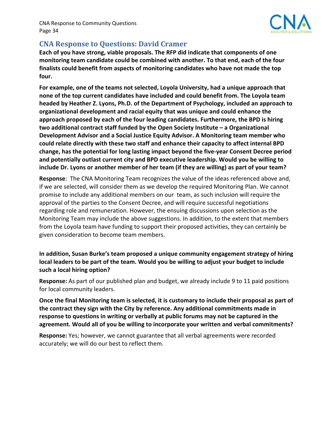

## **CNA Response to Questions: David Cramer**

Each of you have strong, viable proposals. The RFP did indicate that components of one monitoring team candidate could be combined with another. To that end, each of the four  **finalists could benefit from aspects of monitoring candidates who have not made the top four.**

For example, one of the teams not selected, Loyola University, had a unique approach that none of the top current candidates have included and could benefit from. The Loyola team headed by Heather Z. Lyons, Ph.D. of the Department of Psychology, included an approach to  **organizational development and racial equity that was unique and could enhance the** approach proposed by each of the four leading candidates. Furthermore, the BPD is hiring  **two additional contract staff funded by the Open Society Institute – a Organizational Development Advisor and a Social Justice Equity Advisor. A Monitoring team member who** could relate directly with these two staff and enhance their capacity to affect internal BPD change, has the potential for long lasting impact beyond the five-year Consent Decree period  **and potentially outlast current city and BPD executive leadership. Would you be willing to** include Dr. Lyons or another member of her team (if they are willing) as part of your team?

 **Response**: The CNA Monitoring Team recognizes the value of the ideas referenced above and, if we are selected, will consider them as we develop the required Monitoring Plan. We cannot promise to include any additional members on our team, as such inclusion will require the approval of the parties to the Consent Decree, and will require successful negotiations regarding role and remuneration. However, the ensuing discussions upon selection as the Monitoring Team may include the above suggestions. In addition, to the extent that members from the Loyola team have funding to support their proposed activities, they can certainly be given consideration to become team members.

 **In addition, Susan Burke's team proposed a unique community engagement strategy of hiring** local leaders to be part of the team. Would you be willing to adjust your budget to include  **such a local hiring option?**

 **Response:** As part of our published plan and budget, we already include 9 to 11 paid positions for local community leaders.

Once the final Monitoring team is selected, it is customary to include their proposal as part of the contract they sign with the City by reference. Any additional commitments made in response to questions in writing or verbally at public forums may not be captured in the  **agreement. Would all of you be willing to incorporate your written and verbal commitments?**

 **Response:** Yes; however, we cannot guarantee that all verbal agreements were recorded accurately; we will do our best to reflect them.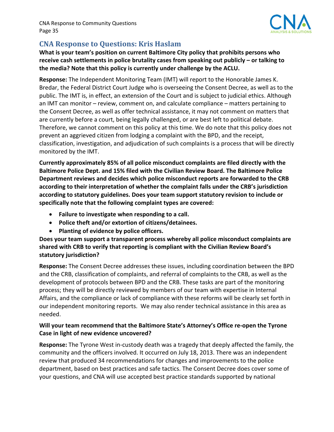

# **CNA Response to Questions: Kris Haslam**

 **What is your team's position on current Baltimore City policy that prohibits persons who** receive cash settlements in police brutality cases from speaking out publicly – or talking to  **the media? Note that this policy is currently under challenge by the ACLU.**

 **Response:** The Independent Monitoring Team (IMT) will report to the Honorable James K. Bredar, the Federal District Court Judge who is overseeing the Consent Decree, as well as to the public. The IMT is, in effect, an extension of the Court and is subject to judicial ethics. Although an IMT can monitor – review, comment on, and calculate compliance – matters pertaining to the Consent Decree, as well as offer technical assistance, it may not comment on matters that are currently before a court, being legally challenged, or are best left to political debate. Therefore, we cannot comment on this policy at this time. We do note that this policy does not prevent an aggrieved citizen from lodging a complaint with the BPD, and the receipt, classification, investigation, and adjudication of such complaints is a process that will be directly monitored by the IMT.

 **Currently approximately 85% of all police misconduct complaints are filed directly with the Baltimore Police Dept. and 15% filed with the Civilian Review Board. The Baltimore Police Department reviews and decides which police misconduct reports are forwarded to the CRB according to their interpretation of whether the complaint falls under the CRB's jurisdiction according to statutory guidelines. Does your team support statutory revision to include or specifically note that the following complaint types are covered:**

- **Failure to investigate when responding to a call.**
- **Police theft and/or extortion of citizens/detainees.**
- **Planting of evidence by police officers.**

 **Does your team support a transparent process whereby all police misconduct complaints are shared with CRB to verify that reporting is compliant with the Civilian Review Board's statutory jurisdiction?**

 **Response:** The Consent Decree addresses these issues, including coordination between the BPD and the CRB, classification of complaints, and referral of complaints to the CRB, as well as the development of protocols between BPD and the CRB. These tasks are part of the monitoring process; they will be directly reviewed by members of our team with expertise in Internal Affairs, and the compliance or lack of compliance with these reforms will be clearly set forth in our independent monitoring reports. We may also render technical assistance in this area as  needed.

#### Will your team recommend that the Baltimore State's Attorney's Office re-open the Tyrone  **Case in light of new evidence uncovered?**

 **Response:** The Tyrone West in‐custody death was a tragedy that deeply affected the family, the community and the officers involved. It occurred on July 18, 2013. There was an independent review that produced 34 recommendations for changes and improvements to the police department, based on best practices and safe tactics. The Consent Decree does cover some of your questions, and CNA will use accepted best practice standards supported by national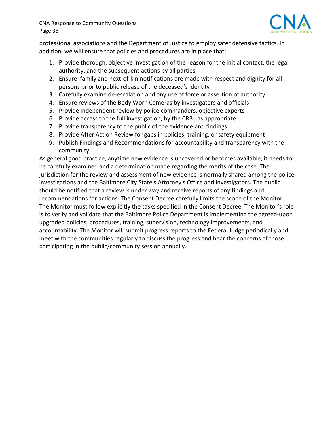

 professional associations and the Department of Justice to employ safer defensive tactics. In addition, we will ensure that policies and procedures are in place that:

- 1. Provide thorough, objective investigation of the reason for the initial contact, the legal authority, and the subsequent actions by all parties
- 2. Ensure family and next-of-kin notifications are made with respect and dignity for all persons prior to public release of the deceased's identity
- 3. Carefully examine de-escalation and any use of force or assertion of authority
- 4. Ensure reviews of the Body Worn Cameras by investigators and officials
- 5. Provide independent review by police commanders, objective experts
- 6. Provide access to the full investigation, by the CRB, as appropriate
- 7. Provide transparency to the public of the evidence and findings
- 8. Provide After Action Review for gaps in policies, training, or safety equipment
- 9. Publish Findings and Recommendations for accountability and transparency with the community.

 As general good practice, anytime new evidence is uncovered or becomes available, it needs to be carefully examined and a determination made regarding the merits of the case. The jurisdiction for the review and assessment of new evidence is normally shared among the police investigations and the Baltimore City State's Attorney's Office and investigators. The public should be notified that a review is under way and receive reports of any findings and recommendations for actions. The Consent Decree carefully limits the scope of the Monitor. The Monitor must follow explicitly the tasks specified in the Consent Decree. The Monitor's role is to verify and validate that the Baltimore Police Department is implementing the agreed‐upon upgraded policies, procedures, training, supervision, technology improvements, and accountability. The Monitor will submit progress reports to the Federal Judge periodically and meet with the communities regularly to discuss the progress and hear the concerns of those participating in the public/community session annually.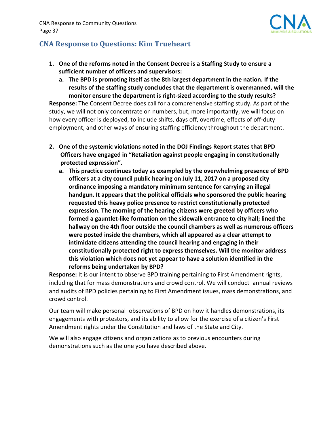

# **CNA Response to Questions: Kim Trueheart**

- 1. One of the reforms noted in the Consent Decree is a Staffing Study to ensure a  **sufficient number of officers and supervisors:**
	- a. The BPD is promoting itself as the 8th largest department in the nation. If the  **results of the staffing study concludes that the department is overmanned, will the monitor ensure the department is right‐sized according to the study results?**

 **Response:** The Consent Decree does call for a comprehensive staffing study. As part of the study, we will not only concentrate on numbers, but, more importantly, we will focus on how every officer is deployed, to include shifts, days off, overtime, effects of off‐duty employment, and other ways of ensuring staffing efficiency throughout the department.

- **2. One of the systemic violations noted in the DOJ Findings Report states that BPD Officers have engaged in "Retaliation against people engaging in constitutionally protected expression".**
	- **a. This practice continues today as exampled by the overwhelming presence of BPD officers at a city council public hearing on July 11, 2017 on a proposed city ordinance imposing a mandatory minimum sentence for carrying an illegal handgun. It appears that the political officials who sponsored the public hearing requested this heavy police presence to restrict constitutionally protected expression. The morning of the hearing citizens were greeted by officers who** formed a gauntlet-like formation on the sidewalk entrance to city hall; lined the  **hallway on the 4th floor outside the council chambers as well as numerous officers were posted inside the chambers, which all appeared as a clear attempt to intimidate citizens attending the council hearing and engaging in their constitutionally protected right to express themselves. Will the monitor address this violation which does not yet appear to have a solution identified in the reforms being undertaken by BPD?**

 **Response:** It is our intent to observe BPD training pertaining to First Amendment rights, including that for mass demonstrations and crowd control. We will conduct annual reviews and audits of BPD policies pertaining to First Amendment issues, mass demonstrations, and crowd control.

 Our team will make personal observations of BPD on how it handles demonstrations, its engagements with protestors, and its ability to allow for the exercise of a citizen's First Amendment rights under the Constitution and laws of the State and City.

 We will also engage citizens and organizations as to previous encounters during demonstrations such as the one you have described above.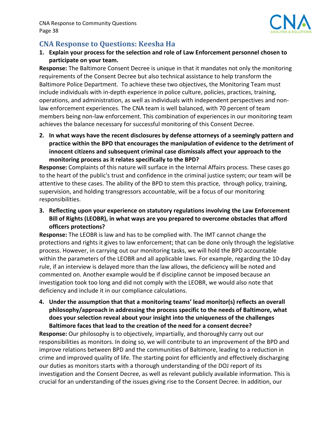

# **CNA Response to Questions: Keesha Ha**

1. Explain your process for the selection and role of Law Enforcement personnel chosen to  **participate on your team.**

 **Response:** The Baltimore Consent Decree is unique in that it mandates not only the monitoring requirements of the Consent Decree but also technical assistance to help transform the Baltimore Police Department. To achieve these two objectives, the Monitoring Team must include individuals with in‐depth experience in police culture, policies, practices, training, operations, and administration, as well as individuals with independent perspectives and non‐ law enforcement experiences. The CNA team is well balanced, with 70 percent of team members being non‐law enforcement. This combination of experiences in our monitoring team achieves the balance necessary for successful monitoring of this Consent Decree.

2. In what ways have the recent disclosures by defense attorneys of a seemingly pattern and practice within the BPD that encourages the manipulation of evidence to the detriment of  **innocent citizens and subsequent criminal case dismissals affect your approach to the monitoring process as it relates specifically to the BPD?**

 **Response:** Complaints of this nature will surface in the Internal Affairs process. These cases go to the heart of the public's trust and confidence in the criminal justice system; our team will be attentive to these cases. The ability of the BPD to stem this practice, through policy, training, supervision, and holding transgressors accountable, will be a focus of our monitoring responsibilities.

 **3. Reflecting upon your experience on statutory regulations involving the Law Enforcement** Bill of Rights (LEOBR), in what ways are you prepared to overcome obstacles that afford **officers protections?**

 **Response:** The LEOBR is law and has to be complied with. The IMT cannot change the protections and rights it gives to law enforcement; that can be done only through the legislative process. However, in carrying out our monitoring tasks, we will hold the BPD accountable within the parameters of the LEOBR and all applicable laws. For example, regarding the 10‐day rule, if an interview is delayed more than the law allows, the deficiency will be noted and commented on. Another example would be if discipline cannot be imposed because an investigation took too long and did not comply with the LEOBR, we would also note that deficiency and include it in our compliance calculations.

 **4. Under the assumption that that a monitoring teams' lead monitor(s) reflects an overall philosophy/approach in addressing the process specific to the needs of Baltimore, what does your selection reveal about your insight into the uniqueness of the challenges Baltimore faces that lead to the creation of the need for a consent decree?**

 **Response:** Our philosophy is to objectively, impartially, and thoroughly carry out our responsibilities as monitors. In doing so, we will contribute to an improvement of the BPD and improve relations between BPD and the communities of Baltimore, leading to a reduction in crime and improved quality of life. The starting point for efficiently and effectively discharging our duties as monitors starts with a thorough understanding of the DOJ report of its investigation and the Consent Decree, as well as relevant publicly available information. This is crucial for an understanding of the issues giving rise to the Consent Decree. In addition, our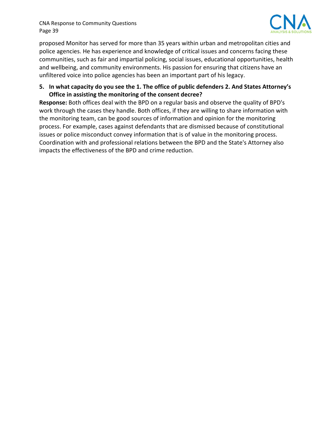

 proposed Monitor has served for more than 35 years within urban and metropolitan cities and police agencies. He has experience and knowledge of critical issues and concerns facing these communities, such as fair and impartial policing, social issues, educational opportunities, health and wellbeing, and community environments. His passion for ensuring that citizens have an unfiltered voice into police agencies has been an important part of his legacy.

#### 5. In what capacity do you see the 1. The office of public defenders 2. And States Attorney's  **Office in assisting the monitoring of the consent decree?**

 **Response:** Both offices deal with the BPD on a regular basis and observe the quality of BPD's work through the cases they handle. Both offices, if they are willing to share information with the monitoring team, can be good sources of information and opinion for the monitoring process. For example, cases against defendants that are dismissed because of constitutional issues or police misconduct convey information that is of value in the monitoring process. Coordination with and professional relations between the BPD and the State's Attorney also impacts the effectiveness of the BPD and crime reduction.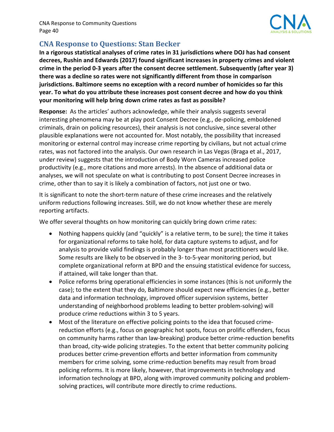

## **CNA Response to Questions: Stan Becker**

In a rigorous statistical analyses of crime rates in 31 jurisdictions where DOJ has had consent  **decrees, Rushin and Edwards (2017) found significant increases in property crimes and violent** crime in the period 0-3 years after the consent decree settlement. Subsequently (after year 3)  **there was a decline so rates were not significantly different from those in comparison jurisdictions. Baltimore seems no exception with a record number of homicides so far this** year. To what do you attribute these increases post consent decree and how do you think  **your monitoring will help bring down crime rates as fast as possible?**

 **Response:** As the articles' authors acknowledge, while their analysis suggests several interesting phenomena may be at play post Consent Decree (e.g., de‐policing, emboldened criminals, drain on policing resources), their analysis is not conclusive, since several other plausible explanations were not accounted for. Most notably, the possibility that increased monitoring or external control may increase crime reporting by civilians, but not actual crime rates, was not factored into the analysis. Our own research in Las Vegas (Braga et al., 2017, under review) suggests that the introduction of Body Worn Cameras increased police productivity (e.g., more citations and more arrests). In the absence of additional data or analyses, we will not speculate on what is contributing to post Consent Decree increases in crime, other than to say it is likely a combination of factors, not just one or two.

 It is significant to note the short‐term nature of these crime increases and the relatively uniform reductions following increases. Still, we do not know whether these are merely reporting artifacts.

We offer several thoughts on how monitoring can quickly bring down crime rates:

- Nothing happens quickly (and "quickly" is a relative term, to be sure); the time it takes for organizational reforms to take hold, for data capture systems to adjust, and for analysis to provide valid findings is probably longer than most practitioners would like. Some results are likely to be observed in the 3‐ to‐5‐year monitoring period, but complete organizational reform at BPD and the ensuing statistical evidence for success, if attained, will take longer than that.
- Police reforms bring operational efficiencies in some instances (this is not uniformly the case); to the extent that they do, Baltimore should expect new efficiencies (e.g., better data and information technology, improved officer supervision systems, better understanding of neighborhood problems leading to better problem‐solving) will produce crime reductions within 3 to 5 years.
- Most of the literature on effective policing points to the idea that focused crime‐ reduction efforts (e.g., focus on geographic hot spots, focus on prolific offenders, focus on community harms rather than law‐breaking) produce better crime‐reduction benefits than broad, city‐wide policing strategies. To the extent that better community policing produces better crime‐prevention efforts and better information from community members for crime solving, some crime‐reduction benefits may result from broad policing reforms. It is more likely, however, that improvements in technology and information technology at BPD, along with improved community policing and problem‐ solving practices, will contribute more directly to crime reductions.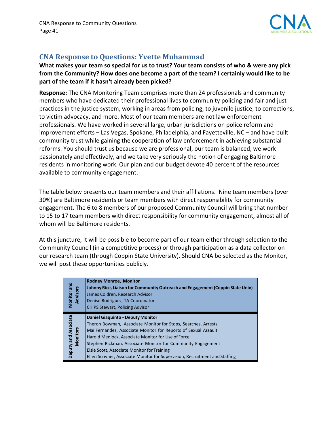

## **CNA Response to Questions: Yvette Muhammad**

What makes your team so special for us to trust? Your team consists of who & were any pick from the Community? How does one become a part of the team? I certainly would like to be  **part of the team if it hasn't already been picked?**

 **Response:** The CNA Monitoring Team comprises more than 24 professionals and community members who have dedicated their professional lives to community policing and fair and just practices in the justice system, working in areas from policing, to juvenile justice, to corrections, to victim advocacy, and more. Most of our team members are not law enforcement professionals. We have worked in several large, urban jurisdictions on police reform and improvement efforts – Las Vegas, Spokane, Philadelphia, and Fayetteville, NC – and have built community trust while gaining the cooperation of law enforcement in achieving substantial reforms. You should trust us because we are professional, our team is balanced, we work passionately and effectively, and we take very seriously the notion of engaging Baltimore residents in monitoring work. Our plan and our budget devote 40 percent of the resources available to community engagement.

 The table below presents our team members and their affiliations. Nine team members (over 30%) are Baltimore residents or team members with direct responsibility for community engagement. The 6 to 8 members of our proposed Community Council will bring that number to 15 to 17 team members with direct responsibility for community engagement, almost all of whom will be Baltimore residents.

 At this juncture, it will be possible to become part of our team either through selection to the Community Council (in a competitive process) or through participation as a data collector on our research team (through Coppin State University). Should CNA be selected as the Monitor, we will post these opportunities publicly.

| <b>Monitor</b> and<br><b>Advisors</b> | <b>Rodney Monroe, Monitor</b><br>Johnny Rice, Liaison for Community Outreach and Engagement (Coppin State Univ)<br>James Coldren, Research Advisor<br>Denise Rodriguez, TA Coordinator<br><b>CHIPS Stewart, Policing Advisor</b>                                                                                                                                                                                               |
|---------------------------------------|--------------------------------------------------------------------------------------------------------------------------------------------------------------------------------------------------------------------------------------------------------------------------------------------------------------------------------------------------------------------------------------------------------------------------------|
| Deputy and Associate<br>Monitors      | <b>Daniel Giaquinto - Deputy Monitor</b><br>Theron Bowman, Associate Monitor for Stops, Searches, Arrests<br>Mai Fernandez, Associate Monitor for Reports of Sexual Assault<br>Harold Medlock, Associate Monitor for Use of Force<br>Stephen Rickman, Associate Monitor for Community Engagement<br>Elsie Scott, Associate Monitor for Training<br>Ellen Scrivner, Associate Monitor for Supervision, Recruitment and Staffing |